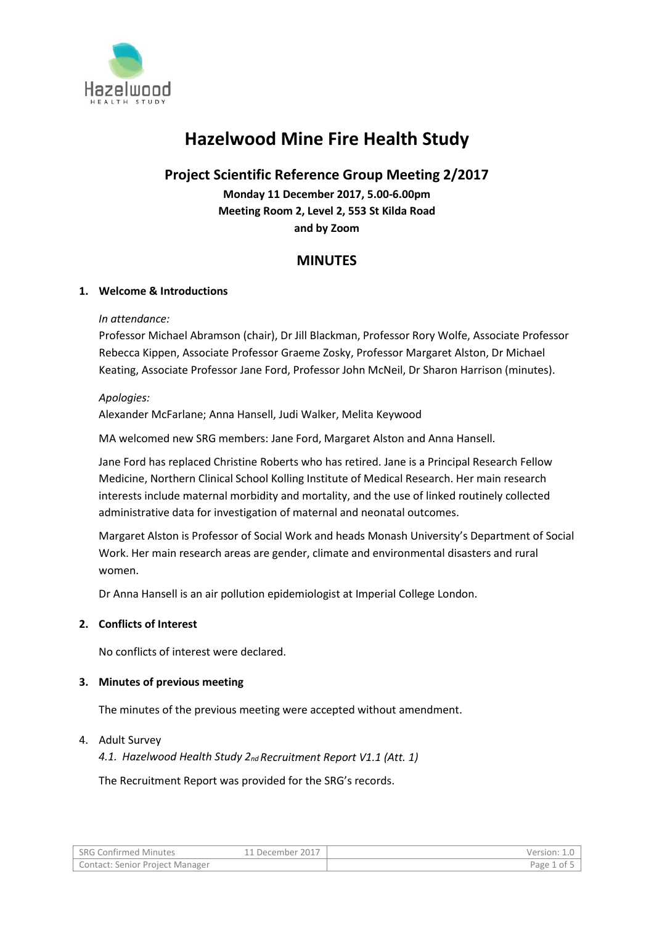

# **Hazelwood Mine Fire Health Study**

# **Project Scientific Reference Group Meeting 2/2017**

**Monday 11 December 2017, 5.00-6.00pm Meeting Room 2, Level 2, 553 St Kilda Road and by Zoom**

# **MINUTES**

# **1. Welcome & Introductions**

# *In attendance:*

Professor Michael Abramson (chair), Dr Jill Blackman, Professor Rory Wolfe, Associate Professor Rebecca Kippen, Associate Professor Graeme Zosky, Professor Margaret Alston, Dr Michael Keating, Associate Professor Jane Ford, Professor John McNeil, Dr Sharon Harrison (minutes).

# *Apologies:*

Alexander McFarlane; Anna Hansell, Judi Walker, Melita Keywood

MA welcomed new SRG members: Jane Ford, Margaret Alston and Anna Hansell.

Jane Ford has replaced Christine Roberts who has retired. Jane is a Principal Research Fellow Medicine, Northern Clinical School Kolling Institute of Medical Research. Her main research interests include maternal morbidity and mortality, and the use of linked routinely collected administrative data for investigation of maternal and neonatal outcomes.

Margaret Alston is Professor of Social Work and heads Monash University's Department of Social Work. Her main research areas are gender, climate and environmental disasters and rural women.

Dr Anna Hansell is an air pollution epidemiologist at Imperial College London.

# **2. Conflicts of Interest**

No conflicts of interest were declared.

# **3. Minutes of previous meeting**

The minutes of the previous meeting were accepted without amendment.

# 4. Adult Survey

*4.1. Hazelwood Health Study 2nd Recruitment Report V1.1 (Att. 1)*

The Recruitment Report was provided for the SRG's records.

| <sup>1</sup> SRG Confirmed Minutes | 11 December 2017 | Version:  |
|------------------------------------|------------------|-----------|
| Contact: Senior Project Manager    |                  | Page 1 of |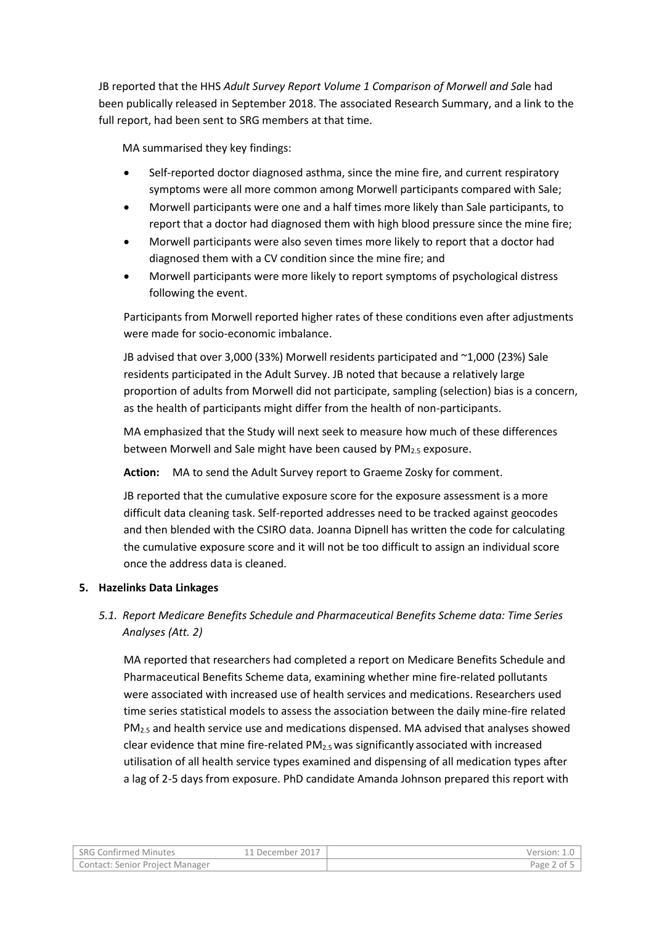JB reported that the HHS *Adult Survey Report Volume 1 Comparison of Morwell and Sa*le had been publically released in September 2018. The associated Research Summary, and a link to the full report, had been sent to SRG members at that time.

MA summarised they key findings:

- Self-reported doctor diagnosed asthma, since the mine fire, and current respiratory symptoms were all more common among Morwell participants compared with Sale;
- Morwell participants were one and a half times more likely than Sale participants, to report that a doctor had diagnosed them with high blood pressure since the mine fire;
- Morwell participants were also seven times more likely to report that a doctor had diagnosed them with a CV condition since the mine fire; and
- Morwell participants were more likely to report symptoms of psychological distress following the event.

Participants from Morwell reported higher rates of these conditions even after adjustments were made for socio-economic imbalance.

JB advised that over 3,000 (33%) Morwell residents participated and ~1,000 (23%) Sale residents participated in the Adult Survey. JB noted that because a relatively large proportion of adults from Morwell did not participate, sampling (selection) bias is a concern, as the health of participants might differ from the health of non-participants.

MA emphasized that the Study will next seek to measure how much of these differences between Morwell and Sale might have been caused by PM<sub>2.5</sub> exposure.

**Action:** MA to send the Adult Survey report to Graeme Zosky for comment.

JB reported that the cumulative exposure score for the exposure assessment is a more difficult data cleaning task. Self-reported addresses need to be tracked against geocodes and then blended with the CSIRO data. Joanna Dipnell has written the code for calculating the cumulative exposure score and it will not be too difficult to assign an individual score once the address data is cleaned.

# **5. Hazelinks Data Linkages**

# *5.1. Report Medicare Benefits Schedule and Pharmaceutical Benefits Scheme data: Time Series Analyses (Att. 2)*

MA reported that researchers had completed a report on Medicare Benefits Schedule and Pharmaceutical Benefits Scheme data, examining whether mine fire-related pollutants were associated with increased use of health services and medications. Researchers used time series statistical models to assess the association between the daily mine-fire related  $PM<sub>2.5</sub>$  and health service use and medications dispensed. MA advised that analyses showed clear evidence that mine fire-related  $PM<sub>2.5</sub>$  was significantly associated with increased utilisation of all health service types examined and dispensing of all medication types after a lag of 2-5 days from exposure. PhD candidate Amanda Johnson prepared this report with

| <b>SRG Confirmed Minutes</b>    | .1 December 2017 | Version: 1 |
|---------------------------------|------------------|------------|
| Contact: Senior Project Manager |                  | Page 2 of  |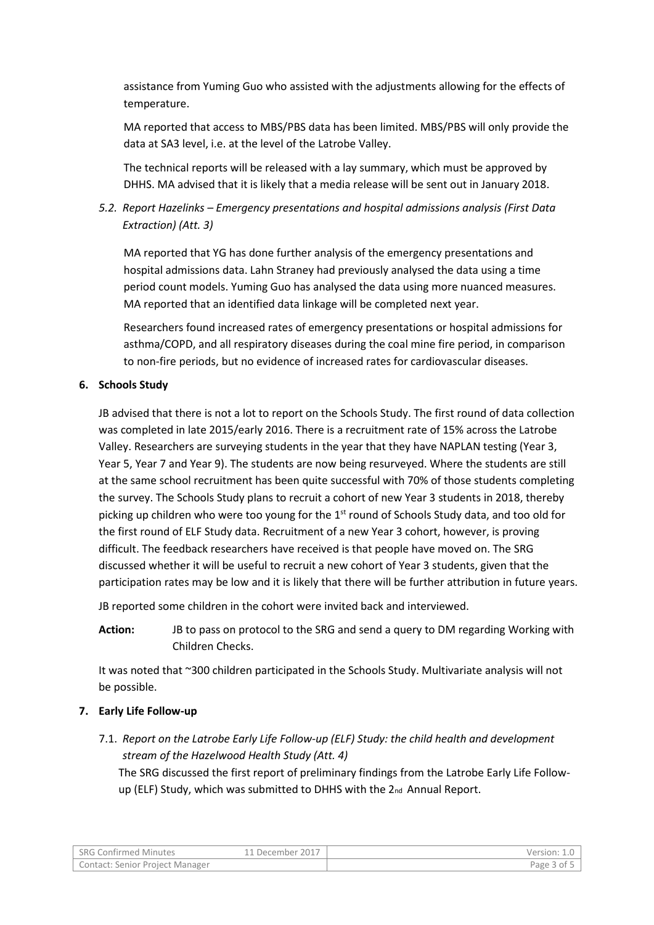assistance from Yuming Guo who assisted with the adjustments allowing for the effects of temperature.

MA reported that access to MBS/PBS data has been limited. MBS/PBS will only provide the data at SA3 level, i.e. at the level of the Latrobe Valley.

The technical reports will be released with a lay summary, which must be approved by DHHS. MA advised that it is likely that a media release will be sent out in January 2018.

# *5.2. Report Hazelinks – Emergency presentations and hospital admissions analysis (First Data Extraction) (Att. 3)*

MA reported that YG has done further analysis of the emergency presentations and hospital admissions data. Lahn Straney had previously analysed the data using a time period count models. Yuming Guo has analysed the data using more nuanced measures. MA reported that an identified data linkage will be completed next year.

Researchers found increased rates of emergency presentations or hospital admissions for asthma/COPD, and all respiratory diseases during the coal mine fire period, in comparison to non-fire periods, but no evidence of increased rates for cardiovascular diseases.

# **6. Schools Study**

JB advised that there is not a lot to report on the Schools Study. The first round of data collection was completed in late 2015/early 2016. There is a recruitment rate of 15% across the Latrobe Valley. Researchers are surveying students in the year that they have NAPLAN testing (Year 3, Year 5, Year 7 and Year 9). The students are now being resurveyed. Where the students are still at the same school recruitment has been quite successful with 70% of those students completing the survey. The Schools Study plans to recruit a cohort of new Year 3 students in 2018, thereby picking up children who were too young for the  $1<sup>st</sup>$  round of Schools Study data, and too old for the first round of ELF Study data. Recruitment of a new Year 3 cohort, however, is proving difficult. The feedback researchers have received is that people have moved on. The SRG discussed whether it will be useful to recruit a new cohort of Year 3 students, given that the participation rates may be low and it is likely that there will be further attribution in future years.

JB reported some children in the cohort were invited back and interviewed.

**Action:** JB to pass on protocol to the SRG and send a query to DM regarding Working with Children Checks.

It was noted that ~300 children participated in the Schools Study. Multivariate analysis will not be possible.

# **7. Early Life Follow-up**

7.1. *Report on the Latrobe Early Life Follow-up (ELF) Study: the child health and development stream of the Hazelwood Health Study (Att. 4)*

The SRG discussed the first report of preliminary findings from the Latrobe Early Life Followup (ELF) Study, which was submitted to DHHS with the 2nd Annual Report.

| SRG Confirmed Minutes           | December 2017 . | Version:     |
|---------------------------------|-----------------|--------------|
| Contact: Senior Project Manager |                 | Page 3<br>0t |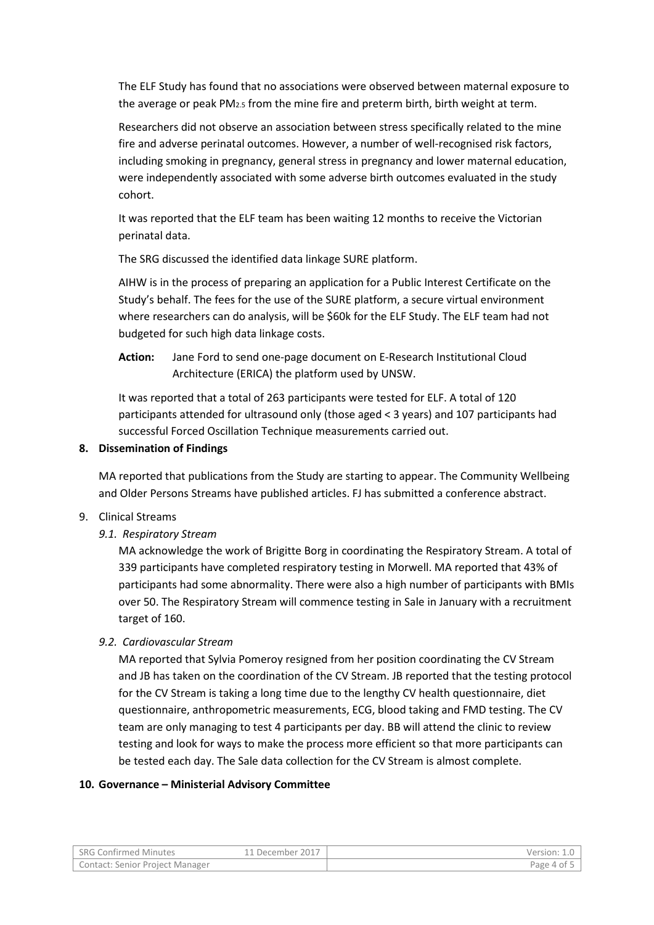The ELF Study has found that no associations were observed between maternal exposure to the average or peak PM2.5 from the mine fire and preterm birth, birth weight at term.

Researchers did not observe an association between stress specifically related to the mine fire and adverse perinatal outcomes. However, a number of well-recognised risk factors, including smoking in pregnancy, general stress in pregnancy and lower maternal education, were independently associated with some adverse birth outcomes evaluated in the study cohort.

It was reported that the ELF team has been waiting 12 months to receive the Victorian perinatal data.

The SRG discussed the identified data linkage SURE platform.

AIHW is in the process of preparing an application for a Public Interest Certificate on the Study's behalf. The fees for the use of the SURE platform, a secure virtual environment where researchers can do analysis, will be \$60k for the ELF Study. The ELF team had not budgeted for such high data linkage costs.

**Action:** Jane Ford to send one-page document on E-Research Institutional Cloud Architecture (ERICA) the platform used by UNSW.

It was reported that a total of 263 participants were tested for ELF. A total of 120 participants attended for ultrasound only (those aged < 3 years) and 107 participants had successful Forced Oscillation Technique measurements carried out.

### **8. Dissemination of Findings**

MA reported that publications from the Study are starting to appear. The Community Wellbeing and Older Persons Streams have published articles. FJ has submitted a conference abstract.

#### 9. Clinical Streams

*9.1. Respiratory Stream*

MA acknowledge the work of Brigitte Borg in coordinating the Respiratory Stream. A total of 339 participants have completed respiratory testing in Morwell. MA reported that 43% of participants had some abnormality. There were also a high number of participants with BMIs over 50. The Respiratory Stream will commence testing in Sale in January with a recruitment target of 160.

#### *9.2. Cardiovascular Stream*

MA reported that Sylvia Pomeroy resigned from her position coordinating the CV Stream and JB has taken on the coordination of the CV Stream. JB reported that the testing protocol for the CV Stream is taking a long time due to the lengthy CV health questionnaire, diet questionnaire, anthropometric measurements, ECG, blood taking and FMD testing. The CV team are only managing to test 4 participants per day. BB will attend the clinic to review testing and look for ways to make the process more efficient so that more participants can be tested each day. The Sale data collection for the CV Stream is almost complete.

#### **10. Governance – Ministerial Advisory Committee**

| <b>SRG Confirmed Minutes</b>    | .1 December 2017 | Version: ٤.٥ |
|---------------------------------|------------------|--------------|
| Contact: Senior Project Manager |                  | Page 4 of 5  |